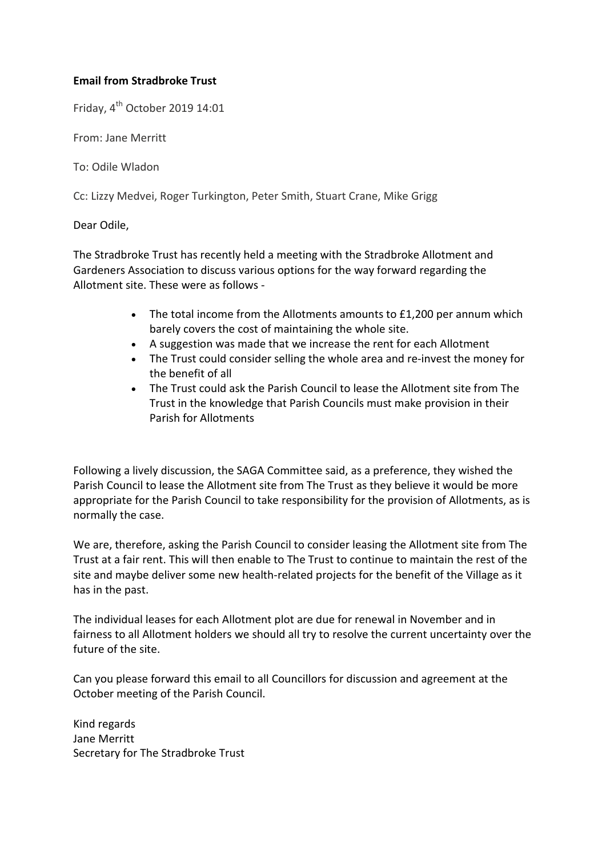### **Email from Stradbroke Trust**

Friday, 4th October 2019 14:01

From: Jane Merritt

To: Odile Wladon

Cc: Lizzy Medvei, Roger Turkington, Peter Smith, Stuart Crane, Mike Grigg

Dear Odile,

The Stradbroke Trust has recently held a meeting with the Stradbroke Allotment and Gardeners Association to discuss various options for the way forward regarding the Allotment site. These were as follows -

- $\bullet$  The total income from the Allotments amounts to £1,200 per annum which barely covers the cost of maintaining the whole site.
- A suggestion was made that we increase the rent for each Allotment
- The Trust could consider selling the whole area and re-invest the money for the benefit of all
- The Trust could ask the Parish Council to lease the Allotment site from The Trust in the knowledge that Parish Councils must make provision in their Parish for Allotments

Following a lively discussion, the SAGA Committee said, as a preference, they wished the Parish Council to lease the Allotment site from The Trust as they believe it would be more appropriate for the Parish Council to take responsibility for the provision of Allotments, as is normally the case.

We are, therefore, asking the Parish Council to consider leasing the Allotment site from The Trust at a fair rent. This will then enable to The Trust to continue to maintain the rest of the site and maybe deliver some new health-related projects for the benefit of the Village as it has in the past.

The individual leases for each Allotment plot are due for renewal in November and in fairness to all Allotment holders we should all try to resolve the current uncertainty over the future of the site.

Can you please forward this email to all Councillors for discussion and agreement at the October meeting of the Parish Council.

Kind regards Jane Merritt Secretary for The Stradbroke Trust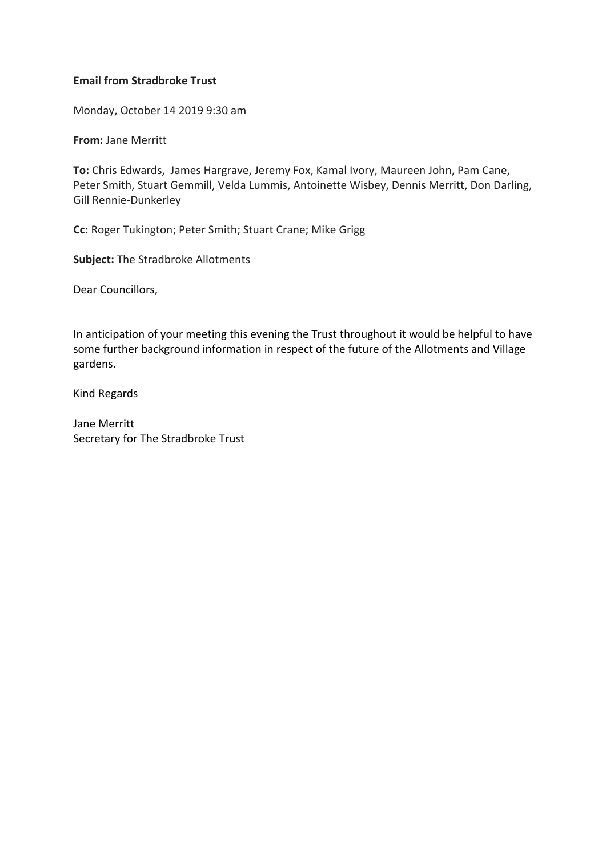#### **Email from Stradbroke Trust**

Monday, October 14 2019 9:30 am

**From:** Jane Merritt

**To:** Chris Edwards, James Hargrave, Jeremy Fox, Kamal Ivory, Maureen John, Pam Cane, Peter Smith, Stuart Gemmill, Velda Lummis, Antoinette Wisbey, Dennis Merritt, Don Darling, Gill Rennie-Dunkerley

**Cc:** Roger Tukington; Peter Smith; Stuart Crane; Mike Grigg

**Subject:** The Stradbroke Allotments

Dear Councillors,

In anticipation of your meeting this evening the Trust throughout it would be helpful to have some further background information in respect of the future of the Allotments and Village gardens.

Kind Regards

Jane Merritt Secretary for The Stradbroke Trust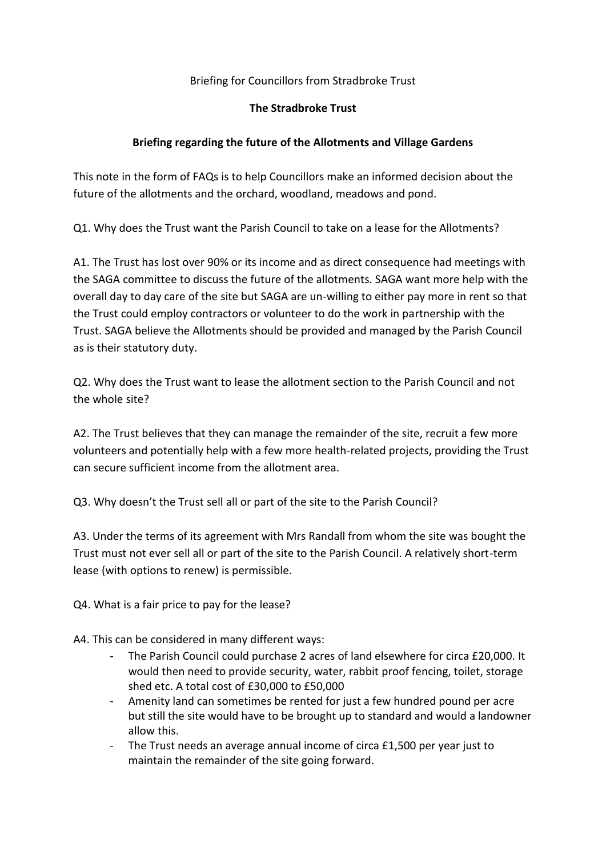## Briefing for Councillors from Stradbroke Trust

### **The Stradbroke Trust**

# **Briefing regarding the future of the Allotments and Village Gardens**

This note in the form of FAQs is to help Councillors make an informed decision about the future of the allotments and the orchard, woodland, meadows and pond.

Q1. Why does the Trust want the Parish Council to take on a lease for the Allotments?

A1. The Trust has lost over 90% or its income and as direct consequence had meetings with the SAGA committee to discuss the future of the allotments. SAGA want more help with the overall day to day care of the site but SAGA are un-willing to either pay more in rent so that the Trust could employ contractors or volunteer to do the work in partnership with the Trust. SAGA believe the Allotments should be provided and managed by the Parish Council as is their statutory duty.

Q2. Why does the Trust want to lease the allotment section to the Parish Council and not the whole site?

A2. The Trust believes that they can manage the remainder of the site, recruit a few more volunteers and potentially help with a few more health-related projects, providing the Trust can secure sufficient income from the allotment area.

Q3. Why doesn't the Trust sell all or part of the site to the Parish Council?

A3. Under the terms of its agreement with Mrs Randall from whom the site was bought the Trust must not ever sell all or part of the site to the Parish Council. A relatively short-term lease (with options to renew) is permissible.

Q4. What is a fair price to pay for the lease?

A4. This can be considered in many different ways:

- The Parish Council could purchase 2 acres of land elsewhere for circa £20,000. It would then need to provide security, water, rabbit proof fencing, toilet, storage shed etc. A total cost of £30,000 to £50,000
- Amenity land can sometimes be rented for just a few hundred pound per acre but still the site would have to be brought up to standard and would a landowner allow this.
- The Trust needs an average annual income of circa £1,500 per year just to maintain the remainder of the site going forward.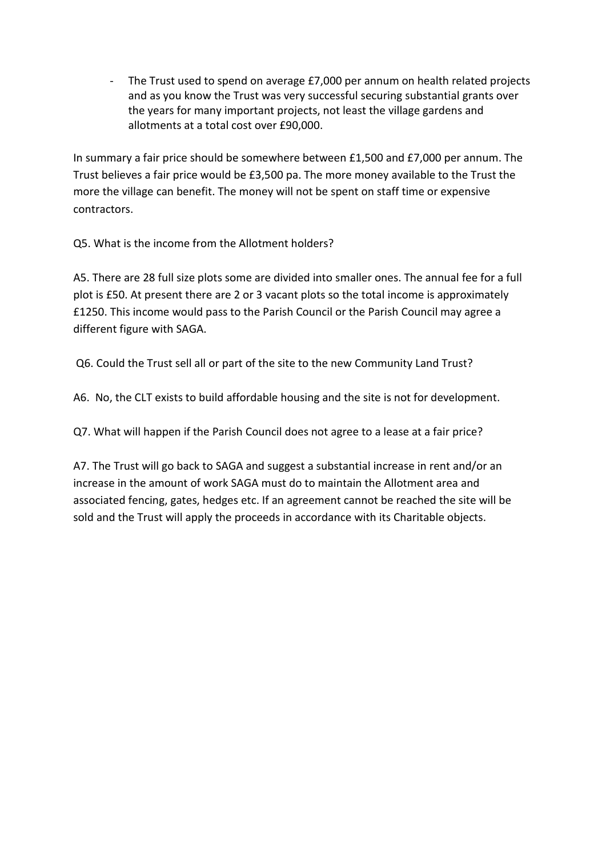- The Trust used to spend on average £7,000 per annum on health related projects and as you know the Trust was very successful securing substantial grants over the years for many important projects, not least the village gardens and allotments at a total cost over £90,000.

In summary a fair price should be somewhere between £1,500 and £7,000 per annum. The Trust believes a fair price would be £3,500 pa. The more money available to the Trust the more the village can benefit. The money will not be spent on staff time or expensive contractors.

Q5. What is the income from the Allotment holders?

A5. There are 28 full size plots some are divided into smaller ones. The annual fee for a full plot is £50. At present there are 2 or 3 vacant plots so the total income is approximately £1250. This income would pass to the Parish Council or the Parish Council may agree a different figure with SAGA.

Q6. Could the Trust sell all or part of the site to the new Community Land Trust?

A6. No, the CLT exists to build affordable housing and the site is not for development.

Q7. What will happen if the Parish Council does not agree to a lease at a fair price?

A7. The Trust will go back to SAGA and suggest a substantial increase in rent and/or an increase in the amount of work SAGA must do to maintain the Allotment area and associated fencing, gates, hedges etc. If an agreement cannot be reached the site will be sold and the Trust will apply the proceeds in accordance with its Charitable objects.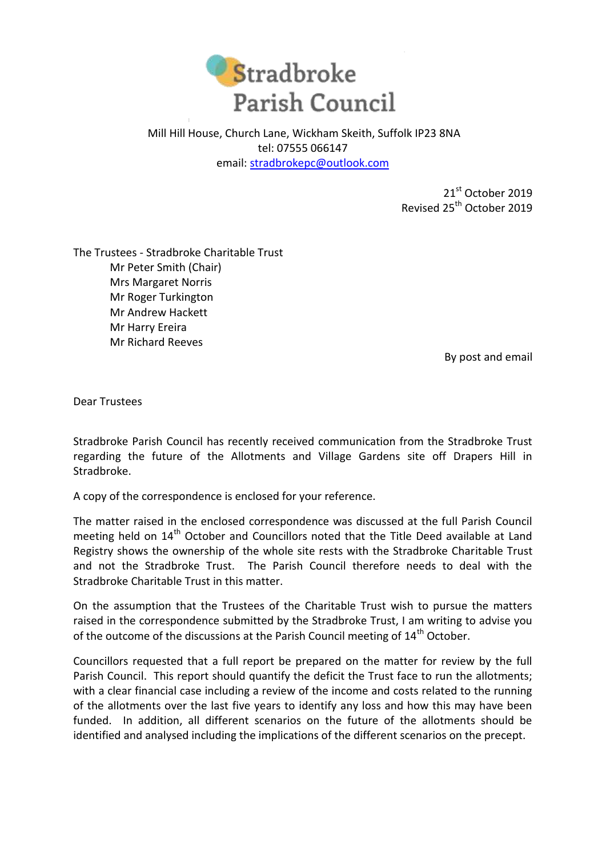

Mill Hill House, Church Lane, Wickham Skeith, Suffolk IP23 8NA tel: 07555 066147 email: [stradbrokepc@outlook.com](mailto:stradbrokepc@outlook.com)

> 21<sup>st</sup> October 2019 Revised 25<sup>th</sup> October 2019

The Trustees - Stradbroke Charitable Trust Mr Peter Smith (Chair) Mrs Margaret Norris Mr Roger Turkington Mr Andrew Hackett Mr Harry Ereira Mr Richard Reeves

By post and email

Dear Trustees

Stradbroke Parish Council has recently received communication from the Stradbroke Trust regarding the future of the Allotments and Village Gardens site off Drapers Hill in Stradbroke.

A copy of the correspondence is enclosed for your reference.

The matter raised in the enclosed correspondence was discussed at the full Parish Council meeting held on 14<sup>th</sup> October and Councillors noted that the Title Deed available at Land Registry shows the ownership of the whole site rests with the Stradbroke Charitable Trust and not the Stradbroke Trust. The Parish Council therefore needs to deal with the Stradbroke Charitable Trust in this matter.

On the assumption that the Trustees of the Charitable Trust wish to pursue the matters raised in the correspondence submitted by the Stradbroke Trust, I am writing to advise you of the outcome of the discussions at the Parish Council meeting of 14<sup>th</sup> October.

Councillors requested that a full report be prepared on the matter for review by the full Parish Council. This report should quantify the deficit the Trust face to run the allotments; with a clear financial case including a review of the income and costs related to the running of the allotments over the last five years to identify any loss and how this may have been funded. In addition, all different scenarios on the future of the allotments should be identified and analysed including the implications of the different scenarios on the precept.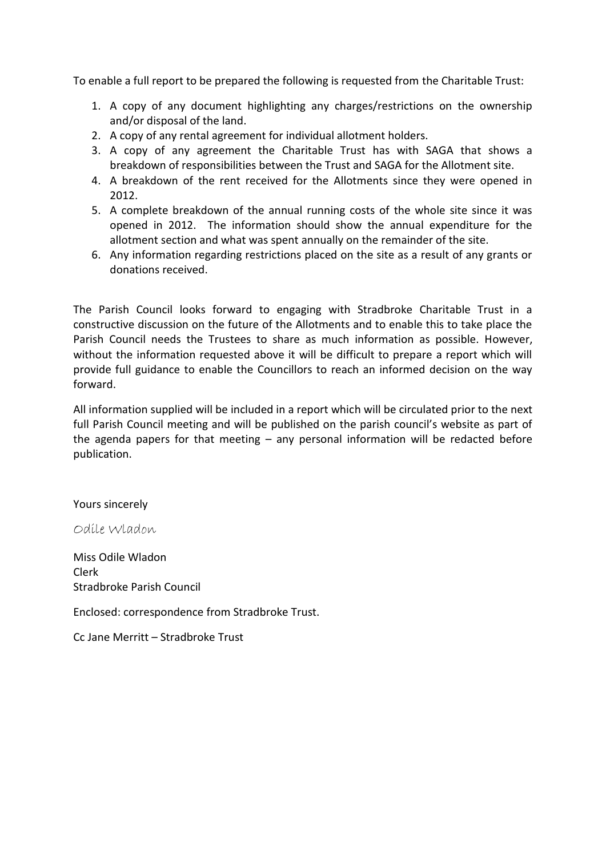To enable a full report to be prepared the following is requested from the Charitable Trust:

- 1. A copy of any document highlighting any charges/restrictions on the ownership and/or disposal of the land.
- 2. A copy of any rental agreement for individual allotment holders.
- 3. A copy of any agreement the Charitable Trust has with SAGA that shows a breakdown of responsibilities between the Trust and SAGA for the Allotment site.
- 4. A breakdown of the rent received for the Allotments since they were opened in 2012.
- 5. A complete breakdown of the annual running costs of the whole site since it was opened in 2012. The information should show the annual expenditure for the allotment section and what was spent annually on the remainder of the site.
- 6. Any information regarding restrictions placed on the site as a result of any grants or donations received.

The Parish Council looks forward to engaging with Stradbroke Charitable Trust in a constructive discussion on the future of the Allotments and to enable this to take place the Parish Council needs the Trustees to share as much information as possible. However, without the information requested above it will be difficult to prepare a report which will provide full guidance to enable the Councillors to reach an informed decision on the way forward.

All information supplied will be included in a report which will be circulated prior to the next full Parish Council meeting and will be published on the parish council's website as part of the agenda papers for that meeting  $-$  any personal information will be redacted before publication.

Yours sincerely

Odile Wladon

Miss Odile Wladon Clerk Stradbroke Parish Council

Enclosed: correspondence from Stradbroke Trust.

Cc Jane Merritt – Stradbroke Trust